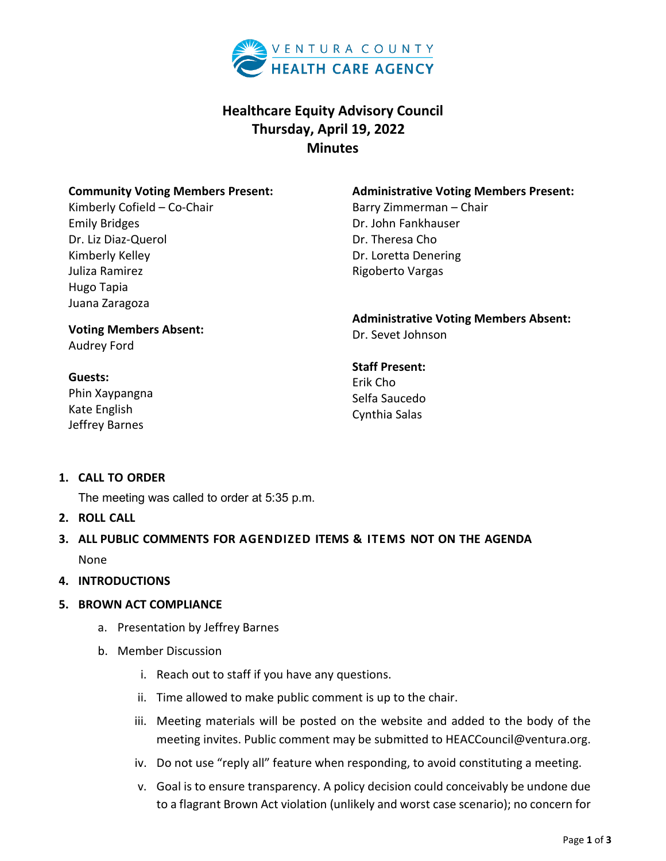

# **Healthcare Equity Advisory Council Thursday, April 19, 2022 Minutes**

### **Community Voting Members Present:**

Kimberly Cofield – Co-Chair Emily Bridges Dr. Liz Diaz-Querol Kimberly Kelley Juliza Ramirez Hugo Tapia Juana Zaragoza

#### **Administrative Voting Members Present:**

Barry Zimmerman – Chair Dr. John Fankhauser Dr. Theresa Cho Dr. Loretta Denering Rigoberto Vargas

**Voting Members Absent:** Audrey Ford

### **Guests:**

Phin Xaypangna Kate English Jeffrey Barnes

**Administrative Voting Members Absent:** Dr. Sevet Johnson

# **Staff Present:** Erik Cho Selfa Saucedo Cynthia Salas

## **1. CALL TO ORDER**

The meeting was called to order at 5:35 p.m.

- **2. ROLL CALL**
- **3. ALL PUBLIC COMMENTS FOR AGENDIZED ITEMS & ITEMS NOT ON THE AGENDA** None
- **4. INTRODUCTIONS**
- **5. BROWN ACT COMPLIANCE** 
	- a. Presentation by Jeffrey Barnes
	- b. Member Discussion
		- i. Reach out to staff if you have any questions.
		- ii. Time allowed to make public comment is up to the chair.
		- iii. Meeting materials will be posted on the website and added to the body of the meeting invites. Public comment may be submitted to HEACCouncil@ventura.org.
		- iv. Do not use "reply all" feature when responding, to avoid constituting a meeting.
		- v. Goal is to ensure transparency. A policy decision could conceivably be undone due to a flagrant Brown Act violation (unlikely and worst case scenario); no concern for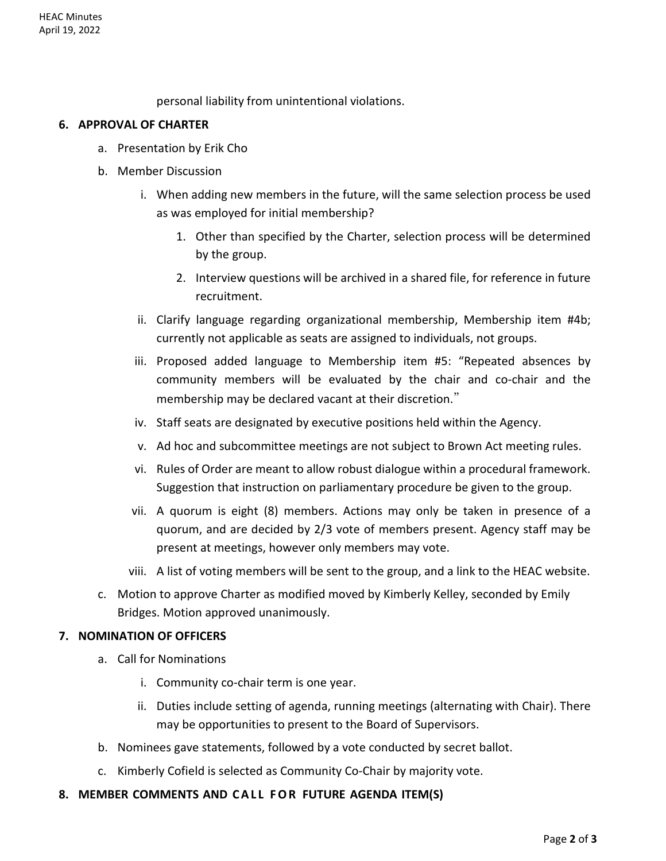personal liability from unintentional violations.

#### **6. APPROVAL OF CHARTER**

- a. Presentation by Erik Cho
- b. Member Discussion
	- i. When adding new members in the future, will the same selection process be used as was employed for initial membership?
		- 1. Other than specified by the Charter, selection process will be determined by the group.
		- 2. Interview questions will be archived in a shared file, for reference in future recruitment.
	- ii. Clarify language regarding organizational membership, Membership item #4b; currently not applicable as seats are assigned to individuals, not groups.
	- iii. Proposed added language to Membership item #5: "Repeated absences by community members will be evaluated by the chair and co-chair and the membership may be declared vacant at their discretion."
	- iv. Staff seats are designated by executive positions held within the Agency.
	- v. Ad hoc and subcommittee meetings are not subject to Brown Act meeting rules.
	- vi. Rules of Order are meant to allow robust dialogue within a procedural framework. Suggestion that instruction on parliamentary procedure be given to the group.
	- vii. A quorum is eight (8) members. Actions may only be taken in presence of a quorum, and are decided by 2/3 vote of members present. Agency staff may be present at meetings, however only members may vote.
	- viii. A list of voting members will be sent to the group, and a link to the HEAC website.
- c. Motion to approve Charter as modified moved by Kimberly Kelley, seconded by Emily Bridges. Motion approved unanimously.

### **7. NOMINATION OF OFFICERS**

- a. Call for Nominations
	- i. Community co-chair term is one year.
	- ii. Duties include setting of agenda, running meetings (alternating with Chair). There may be opportunities to present to the Board of Supervisors.
- b. Nominees gave statements, followed by a vote conducted by secret ballot.
- c. Kimberly Cofield is selected as Community Co-Chair by majority vote.
- **8. MEMBER COMMENTS AND CALL FOR FUTURE AGENDA ITEM(S)**